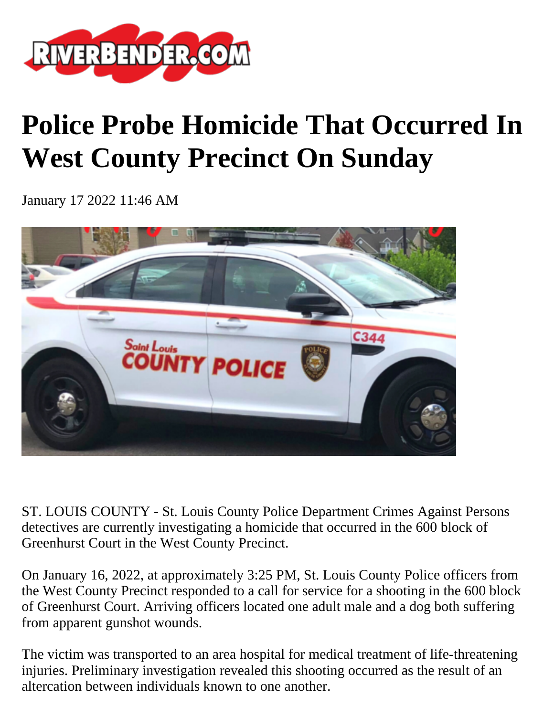

## **Police Probe Homicide That Occurred In West County Precinct On Sunday**

January 17 2022 11:46 AM



ST. LOUIS COUNTY - St. Louis County Police Department Crimes Against Persons detectives are currently investigating a homicide that occurred in the 600 block of Greenhurst Court in the West County Precinct.

On January 16, 2022, at approximately 3:25 PM, St. Louis County Police officers from the West County Precinct responded to a call for service for a shooting in the 600 block of Greenhurst Court. Arriving officers located one adult male and a dog both suffering from apparent gunshot wounds.

The victim was transported to an area hospital for medical treatment of life-threatening injuries. Preliminary investigation revealed this shooting occurred as the result of an altercation between individuals known to one another.